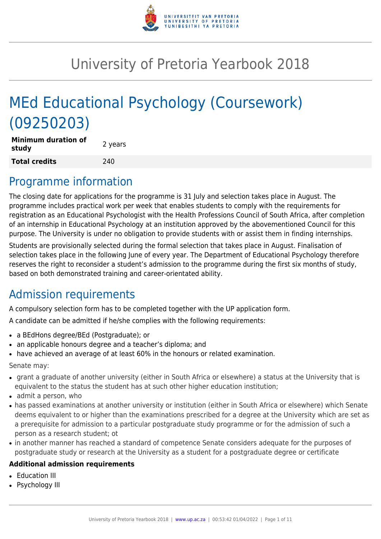

# University of Pretoria Yearbook 2018

# MEd Educational Psychology (Coursework) (09250203)

| <b>Minimum duration of</b><br>study | 2 years |
|-------------------------------------|---------|
| <b>Total credits</b>                | 240     |

## Programme information

The closing date for applications for the programme is 31 July and selection takes place in August. The programme includes practical work per week that enables students to comply with the requirements for registration as an Educational Psychologist with the Health Professions Council of South Africa, after completion of an internship in Educational Psychology at an institution approved by the abovementioned Council for this purpose. The University is under no obligation to provide students with or assist them in finding internships.

Students are provisionally selected during the formal selection that takes place in August. Finalisation of selection takes place in the following June of every year. The Department of Educational Psychology therefore reserves the right to reconsider a student's admission to the programme during the first six months of study, based on both demonstrated training and career-orientated ability.

## Admission requirements

A compulsory selection form has to be completed together with the UP application form.

A candidate can be admitted if he/she complies with the following requirements:

- a BEdHons degree/BEd (Postgraduate); or
- an applicable honours degree and a teacher's diploma; and
- have achieved an average of at least 60% in the honours or related examination.

Senate may:

- grant a graduate of another university (either in South Africa or elsewhere) a status at the University that is equivalent to the status the student has at such other higher education institution;
- admit a person, who
- has passed examinations at another university or institution (either in South Africa or elsewhere) which Senate deems equivalent to or higher than the examinations prescribed for a degree at the University which are set as a prerequisite for admission to a particular postgraduate study programme or for the admission of such a person as a research student; ot
- in another manner has reached a standard of competence Senate considers adequate for the purposes of postgraduate study or research at the University as a student for a postgraduate degree or certificate

#### **Additional admission requirements**

- **Education III**
- Psychology III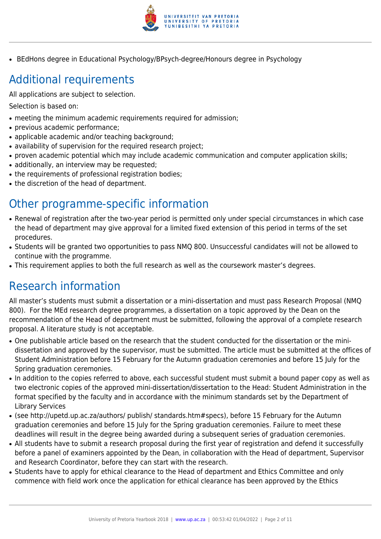

• BEdHons degree in Educational Psychology/BPsych-degree/Honours degree in Psychology

## Additional requirements

All applications are subject to selection.

Selection is based on:

- meeting the minimum academic requirements required for admission;
- previous academic performance:
- applicable academic and/or teaching background;
- availability of supervision for the required research project;
- proven academic potential which may include academic communication and computer application skills;
- additionally, an interview may be requested;
- the requirements of professional registration bodies;
- the discretion of the head of department.

## Other programme-specific information

- Renewal of registration after the two-year period is permitted only under special circumstances in which case the head of department may give approval for a limited fixed extension of this period in terms of the set procedures.
- Students will be granted two opportunities to pass NMQ 800. Unsuccessful candidates will not be allowed to continue with the programme.
- This requirement applies to both the full research as well as the coursework master's degrees.

## Research information

All master's students must submit a dissertation or a mini-dissertation and must pass Research Proposal (NMQ 800). For the MEd research degree programmes, a dissertation on a topic approved by the Dean on the recommendation of the Head of department must be submitted, following the approval of a complete research proposal. A literature study is not acceptable.

- One publishable article based on the research that the student conducted for the dissertation or the minidissertation and approved by the supervisor, must be submitted. The article must be submitted at the offices of Student Administration before 15 February for the Autumn graduation ceremonies and before 15 July for the Spring graduation ceremonies.
- In addition to the copies referred to above, each successful student must submit a bound paper copy as well as two electronic copies of the approved mini-dissertation/dissertation to the Head: Student Administration in the format specified by the faculty and in accordance with the minimum standards set by the Department of Library Services
- (see http://upetd.up.ac.za/authors/ publish/ standards.htm#specs), before 15 February for the Autumn graduation ceremonies and before 15 July for the Spring graduation ceremonies. Failure to meet these deadlines will result in the degree being awarded during a subsequent series of graduation ceremonies.
- All students have to submit a research proposal during the first year of registration and defend it successfully before a panel of examiners appointed by the Dean, in collaboration with the Head of department, Supervisor and Research Coordinator, before they can start with the research.
- Students have to apply for ethical clearance to the Head of department and Ethics Committee and only commence with field work once the application for ethical clearance has been approved by the Ethics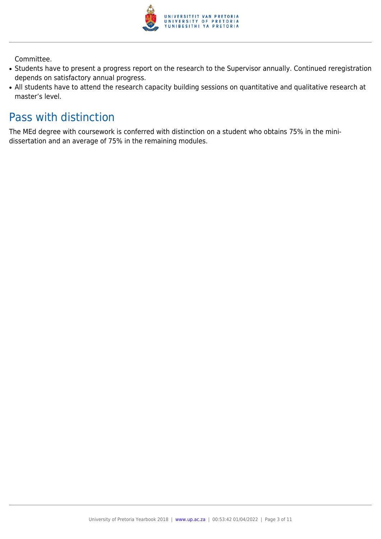

Committee.

- Students have to present a progress report on the research to the Supervisor annually. Continued reregistration depends on satisfactory annual progress.
- All students have to attend the research capacity building sessions on quantitative and qualitative research at master's level.

## Pass with distinction

The MEd degree with coursework is conferred with distinction on a student who obtains 75% in the minidissertation and an average of 75% in the remaining modules.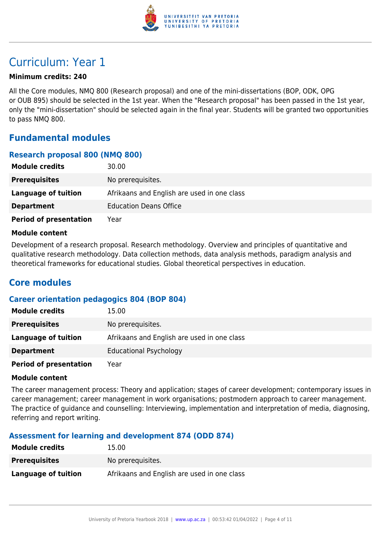

## Curriculum: Year 1

#### **Minimum credits: 240**

All the Core modules, NMQ 800 (Research proposal) and one of the mini-dissertations (BOP, ODK, OPG or OUB 895) should be selected in the 1st year. When the "Research proposal" has been passed in the 1st year, only the "mini-dissertation" should be selected again in the final year. Students will be granted two opportunities to pass NMQ 800.

### **Fundamental modules**

#### **Research proposal 800 (NMQ 800)**

| <b>Module credits</b>         | 30.00                                       |
|-------------------------------|---------------------------------------------|
| <b>Prerequisites</b>          | No prerequisites.                           |
| Language of tuition           | Afrikaans and English are used in one class |
| <b>Department</b>             | <b>Education Deans Office</b>               |
| <b>Period of presentation</b> | Year                                        |

#### **Module content**

Development of a research proposal. Research methodology. Overview and principles of quantitative and qualitative research methodology. Data collection methods, data analysis methods, paradigm analysis and theoretical frameworks for educational studies. Global theoretical perspectives in education.

### **Core modules**

#### **Career orientation pedagogics 804 (BOP 804)**

| <b>Module credits</b>         | 15.00                                       |
|-------------------------------|---------------------------------------------|
| <b>Prerequisites</b>          | No prerequisites.                           |
| Language of tuition           | Afrikaans and English are used in one class |
| <b>Department</b>             | <b>Educational Psychology</b>               |
| <b>Period of presentation</b> | Year                                        |

#### **Module content**

The career management process: Theory and application; stages of career development; contemporary issues in career management; career management in work organisations; postmodern approach to career management. The practice of guidance and counselling: Interviewing, implementation and interpretation of media, diagnosing, referring and report writing.

#### **Assessment for learning and development 874 (ODD 874)**

| <b>Module credits</b> | 15.00                                       |
|-----------------------|---------------------------------------------|
| <b>Prerequisites</b>  | No prereguisites.                           |
| Language of tuition   | Afrikaans and English are used in one class |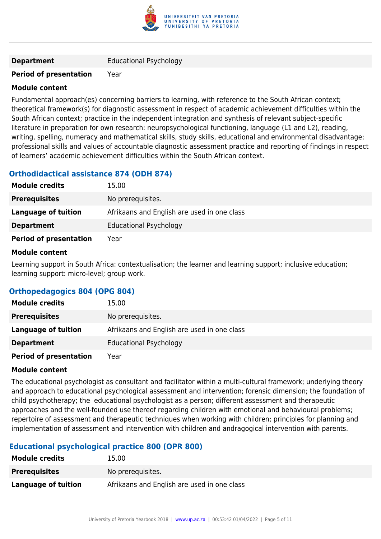

#### **Period of presentation** Year

#### **Module content**

Fundamental approach(es) concerning barriers to learning, with reference to the South African context; theoretical framework(s) for diagnostic assessment in respect of academic achievement difficulties within the South African context; practice in the independent integration and synthesis of relevant subject-specific literature in preparation for own research: neuropsychological functioning, language (L1 and L2), reading, writing, spelling, numeracy and mathematical skills, study skills, educational and environmental disadvantage; professional skills and values of accountable diagnostic assessment practice and reporting of findings in respect of learners' academic achievement difficulties within the South African context.

#### **Orthodidactical assistance 874 (ODH 874)**

| <b>Module credits</b>         | 15.00                                       |
|-------------------------------|---------------------------------------------|
| <b>Prerequisites</b>          | No prerequisites.                           |
| Language of tuition           | Afrikaans and English are used in one class |
| <b>Department</b>             | <b>Educational Psychology</b>               |
| <b>Period of presentation</b> | Year                                        |

#### **Module content**

Learning support in South Africa: contextualisation; the learner and learning support; inclusive education; learning support: micro-level; group work.

#### **Orthopedagogics 804 (OPG 804)**

| <b>Module credits</b>         | 15.00                                       |
|-------------------------------|---------------------------------------------|
| <b>Prerequisites</b>          | No prerequisites.                           |
| Language of tuition           | Afrikaans and English are used in one class |
| <b>Department</b>             | <b>Educational Psychology</b>               |
| <b>Period of presentation</b> | Year                                        |

#### **Module content**

The educational psychologist as consultant and facilitator within a multi-cultural framework; underlying theory and approach to educational psychological assessment and intervention; forensic dimension; the foundation of child psychotherapy; the educational psychologist as a person; different assessment and therapeutic approaches and the well-founded use thereof regarding children with emotional and behavioural problems; repertoire of assessment and therapeutic techniques when working with children; principles for planning and implementation of assessment and intervention with children and andragogical intervention with parents.

#### **Educational psychological practice 800 (OPR 800)**

| <b>Module credits</b> | 15.00                                       |
|-----------------------|---------------------------------------------|
| <b>Prerequisites</b>  | No prerequisites.                           |
| Language of tuition   | Afrikaans and English are used in one class |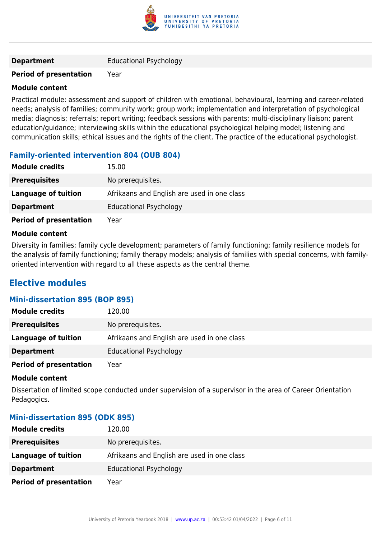

#### **Period of presentation** Year

#### **Module content**

Practical module: assessment and support of children with emotional, behavioural, learning and career-related needs; analysis of families; community work; group work; implementation and interpretation of psychological media; diagnosis; referrals; report writing; feedback sessions with parents; multi-disciplinary liaison; parent education/guidance; interviewing skills within the educational psychological helping model; listening and communication skills; ethical issues and the rights of the client. The practice of the educational psychologist.

#### **Family-oriented intervention 804 (OUB 804)**

| <b>Module credits</b>         | 15.00                                       |
|-------------------------------|---------------------------------------------|
| <b>Prerequisites</b>          | No prerequisites.                           |
| Language of tuition           | Afrikaans and English are used in one class |
| <b>Department</b>             | <b>Educational Psychology</b>               |
| <b>Period of presentation</b> | Year                                        |

#### **Module content**

Diversity in families; family cycle development; parameters of family functioning; family resilience models for the analysis of family functioning; family therapy models; analysis of families with special concerns, with familyoriented intervention with regard to all these aspects as the central theme.

### **Elective modules**

#### **Mini-dissertation 895 (BOP 895)**

| <b>Module credits</b>         | 120.00                                      |
|-------------------------------|---------------------------------------------|
| <b>Prerequisites</b>          | No prerequisites.                           |
| Language of tuition           | Afrikaans and English are used in one class |
| <b>Department</b>             | <b>Educational Psychology</b>               |
| <b>Period of presentation</b> | Year                                        |

#### **Module content**

Dissertation of limited scope conducted under supervision of a supervisor in the area of Career Orientation Pedagogics.

#### **Mini-dissertation 895 (ODK 895)**

| <b>Module credits</b>         | 120.00                                      |
|-------------------------------|---------------------------------------------|
| <b>Prerequisites</b>          | No prerequisites.                           |
| Language of tuition           | Afrikaans and English are used in one class |
| <b>Department</b>             | <b>Educational Psychology</b>               |
| <b>Period of presentation</b> | Year                                        |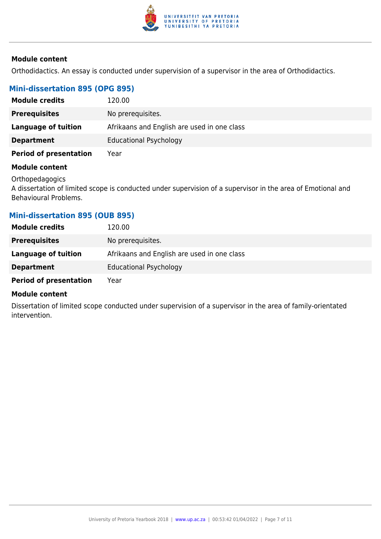

#### **Module content**

Orthodidactics. An essay is conducted under supervision of a supervisor in the area of Orthodidactics.

#### **Mini-dissertation 895 (OPG 895)**

| <b>Module credits</b>         | 120.00                                      |
|-------------------------------|---------------------------------------------|
| <b>Prerequisites</b>          | No prerequisites.                           |
| Language of tuition           | Afrikaans and English are used in one class |
| <b>Department</b>             | <b>Educational Psychology</b>               |
| <b>Period of presentation</b> | Year                                        |

#### **Module content**

**Orthopedagogics** 

A dissertation of limited scope is conducted under supervision of a supervisor in the area of Emotional and Behavioural Problems.

#### **Mini-dissertation 895 (OUB 895)**

| <b>Module credits</b>         | 120.00                                      |
|-------------------------------|---------------------------------------------|
| <b>Prerequisites</b>          | No prerequisites.                           |
| Language of tuition           | Afrikaans and English are used in one class |
| <b>Department</b>             | <b>Educational Psychology</b>               |
| <b>Period of presentation</b> | Year                                        |

#### **Module content**

Dissertation of limited scope conducted under supervision of a supervisor in the area of family-orientated intervention.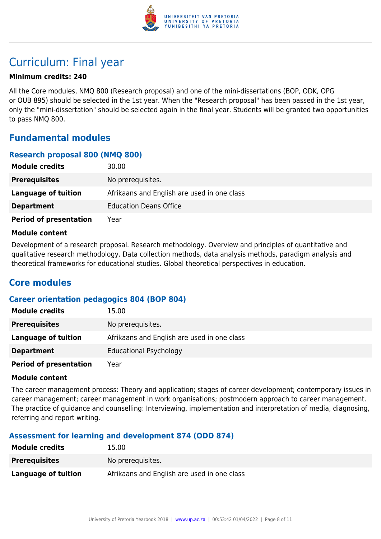

## Curriculum: Final year

#### **Minimum credits: 240**

All the Core modules, NMQ 800 (Research proposal) and one of the mini-dissertations (BOP, ODK, OPG or OUB 895) should be selected in the 1st year. When the "Research proposal" has been passed in the 1st year, only the "mini-dissertation" should be selected again in the final year. Students will be granted two opportunities to pass NMQ 800.

### **Fundamental modules**

#### **Research proposal 800 (NMQ 800)**

| <b>Module credits</b>         | 30.00                                       |
|-------------------------------|---------------------------------------------|
| <b>Prerequisites</b>          | No prerequisites.                           |
| Language of tuition           | Afrikaans and English are used in one class |
| <b>Department</b>             | <b>Education Deans Office</b>               |
| <b>Period of presentation</b> | Year                                        |

#### **Module content**

Development of a research proposal. Research methodology. Overview and principles of quantitative and qualitative research methodology. Data collection methods, data analysis methods, paradigm analysis and theoretical frameworks for educational studies. Global theoretical perspectives in education.

### **Core modules**

#### **Career orientation pedagogics 804 (BOP 804)**

| <b>Module credits</b>         | 15.00                                       |
|-------------------------------|---------------------------------------------|
| <b>Prerequisites</b>          | No prerequisites.                           |
| Language of tuition           | Afrikaans and English are used in one class |
| <b>Department</b>             | <b>Educational Psychology</b>               |
| <b>Period of presentation</b> | Year                                        |

#### **Module content**

The career management process: Theory and application; stages of career development; contemporary issues in career management; career management in work organisations; postmodern approach to career management. The practice of guidance and counselling: Interviewing, implementation and interpretation of media, diagnosing, referring and report writing.

#### **Assessment for learning and development 874 (ODD 874)**

| <b>Module credits</b> | 15.00                                       |
|-----------------------|---------------------------------------------|
| <b>Prerequisites</b>  | No prereguisites.                           |
| Language of tuition   | Afrikaans and English are used in one class |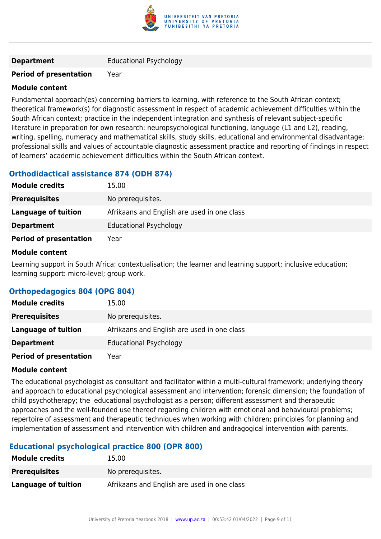

#### **Period of presentation** Year

#### **Module content**

Fundamental approach(es) concerning barriers to learning, with reference to the South African context; theoretical framework(s) for diagnostic assessment in respect of academic achievement difficulties within the South African context; practice in the independent integration and synthesis of relevant subject-specific literature in preparation for own research: neuropsychological functioning, language (L1 and L2), reading, writing, spelling, numeracy and mathematical skills, study skills, educational and environmental disadvantage; professional skills and values of accountable diagnostic assessment practice and reporting of findings in respect of learners' academic achievement difficulties within the South African context.

#### **Orthodidactical assistance 874 (ODH 874)**

| <b>Module credits</b>         | 15.00                                       |
|-------------------------------|---------------------------------------------|
| <b>Prerequisites</b>          | No prerequisites.                           |
| Language of tuition           | Afrikaans and English are used in one class |
| <b>Department</b>             | <b>Educational Psychology</b>               |
| <b>Period of presentation</b> | Year                                        |

#### **Module content**

Learning support in South Africa: contextualisation; the learner and learning support; inclusive education; learning support: micro-level; group work.

#### **Orthopedagogics 804 (OPG 804)**

| <b>Module credits</b>         | 15.00                                       |
|-------------------------------|---------------------------------------------|
| <b>Prerequisites</b>          | No prerequisites.                           |
| Language of tuition           | Afrikaans and English are used in one class |
| <b>Department</b>             | <b>Educational Psychology</b>               |
| <b>Period of presentation</b> | Year                                        |

#### **Module content**

The educational psychologist as consultant and facilitator within a multi-cultural framework; underlying theory and approach to educational psychological assessment and intervention; forensic dimension; the foundation of child psychotherapy; the educational psychologist as a person; different assessment and therapeutic approaches and the well-founded use thereof regarding children with emotional and behavioural problems; repertoire of assessment and therapeutic techniques when working with children; principles for planning and implementation of assessment and intervention with children and andragogical intervention with parents.

#### **Educational psychological practice 800 (OPR 800)**

| <b>Module credits</b> | 15.00                                       |
|-----------------------|---------------------------------------------|
| <b>Prerequisites</b>  | No prerequisites.                           |
| Language of tuition   | Afrikaans and English are used in one class |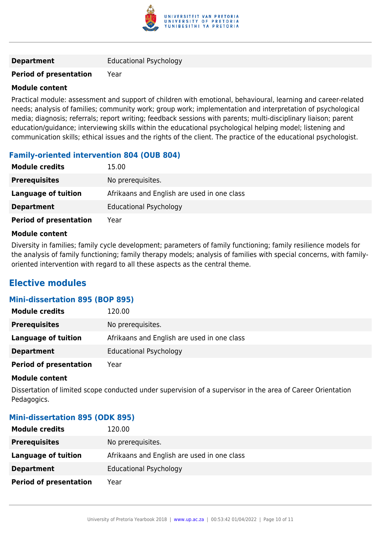

#### **Period of presentation** Year

#### **Module content**

Practical module: assessment and support of children with emotional, behavioural, learning and career-related needs; analysis of families; community work; group work; implementation and interpretation of psychological media; diagnosis; referrals; report writing; feedback sessions with parents; multi-disciplinary liaison; parent education/guidance; interviewing skills within the educational psychological helping model; listening and communication skills; ethical issues and the rights of the client. The practice of the educational psychologist.

#### **Family-oriented intervention 804 (OUB 804)**

| <b>Module credits</b>         | 15.00                                       |
|-------------------------------|---------------------------------------------|
| <b>Prerequisites</b>          | No prerequisites.                           |
| Language of tuition           | Afrikaans and English are used in one class |
| <b>Department</b>             | <b>Educational Psychology</b>               |
| <b>Period of presentation</b> | Year                                        |

#### **Module content**

Diversity in families; family cycle development; parameters of family functioning; family resilience models for the analysis of family functioning; family therapy models; analysis of families with special concerns, with familyoriented intervention with regard to all these aspects as the central theme.

### **Elective modules**

#### **Mini-dissertation 895 (BOP 895)**

| <b>Module credits</b>         | 120.00                                      |
|-------------------------------|---------------------------------------------|
| <b>Prerequisites</b>          | No prerequisites.                           |
| Language of tuition           | Afrikaans and English are used in one class |
| <b>Department</b>             | <b>Educational Psychology</b>               |
| <b>Period of presentation</b> | Year                                        |

#### **Module content**

Dissertation of limited scope conducted under supervision of a supervisor in the area of Career Orientation Pedagogics.

#### **Mini-dissertation 895 (ODK 895)**

| <b>Module credits</b>         | 120.00                                      |
|-------------------------------|---------------------------------------------|
| <b>Prerequisites</b>          | No prerequisites.                           |
| Language of tuition           | Afrikaans and English are used in one class |
| <b>Department</b>             | <b>Educational Psychology</b>               |
| <b>Period of presentation</b> | Year                                        |